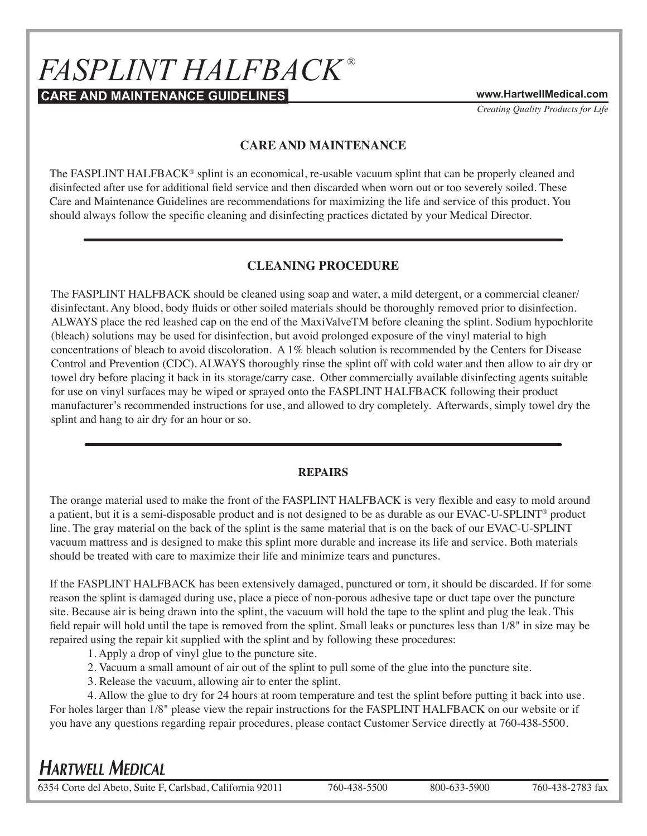# *FASPLINT**HALFBACK* ®

**CARE AND MAINTENANCE GUIDELINES www.HartwellMedical.com**

*Creating Quality Products for Life*

## **CARE AND MAINTENANCE**

The FASPLINT HALFBACK<sup>®</sup> splint is an economical, re-usable vacuum splint that can be properly cleaned and disinfected after use for additional field service and then discarded when worn out or too severely soiled. These Care and Maintenance Guidelines are recommendations for maximizing the life and service of this product. You should always follow the specific cleaning and disinfecting practices dictated by your Medical Director.

## **CLEANING PROCEDURE**

The FASPLINT HALFBACK should be cleaned using soap and water, a mild detergent, or a commercial cleaner/ disinfectant. Any blood, body fluids or other soiled materials should be thoroughly removed prior to disinfection. ALWAYS place the red leashed cap on the end of the MaxiValveTM before cleaning the splint. Sodium hypochlorite (bleach) solutions may be used for disinfection, but avoid prolonged exposure of the vinyl material to high concentrations of bleach to avoid discoloration. A 1% bleach solution is recommended by the Centers for Disease Control and Prevention (CDC). ALWAYS thoroughly rinse the splint off with cold water and then allow to air dry or towel dry before placing it back in its storage/carry case. Other commercially available disinfecting agents suitable for use on vinyl surfaces may be wiped or sprayed onto the FASPLINT HALFBACK following their product manufacturer's recommended instructions for use, and allowed to dry completely. Afterwards, simply towel dry the splint and hang to air dry for an hour or so.

### **REPAIRS**

The orange material used to make the front of the FASPLINT HALFBACK is very flexible and easy to mold around a patient, but it is a semi-disposable product and is not designed to be as durable as our EVAC-U-SPLINT® product line. The gray material on the back of the splint is the same material that is on the back of our EVAC-U-SPLINT vacuum mattress and is designed to make this splint more durable and increase its life and service. Both materials should be treated with care to maximize their life and minimize tears and punctures.

If the FASPLINT HALFBACK has been extensively damaged, punctured or torn, it should be discarded. If for some reason the splint is damaged during use, place a piece of non-porous adhesive tape or duct tape over the puncture site. Because air is being drawn into the splint, the vacuum will hold the tape to the splint and plug the leak. This field repair will hold until the tape is removed from the splint. Small leaks or punctures less than 1/8" in size may be repaired using the repair kit supplied with the splint and by following these procedures:

1. Apply a drop of vinyl glue to the puncture site.

- 2. Vacuum a small amount of air out of the splint to pull some of the glue into the puncture site.
- 3. Release the vacuum, allowing air to enter the splint.
- 4. Allow the glue to dry for 24 hours at room temperature and test the splint before putting it back into use.

For holes larger than 1/8" please view the repair instructions for the FASPLINT HALFBACK on our website or if you have any questions regarding repair procedures, please contact Customer Service directly at 760-438-5500.

## **HARTWELL MEDICAL**

6354 Corte del Abeto, Suite F, Carlsbad, California 92011 760-438-5500 800-633-5900 760-438-2783 fax